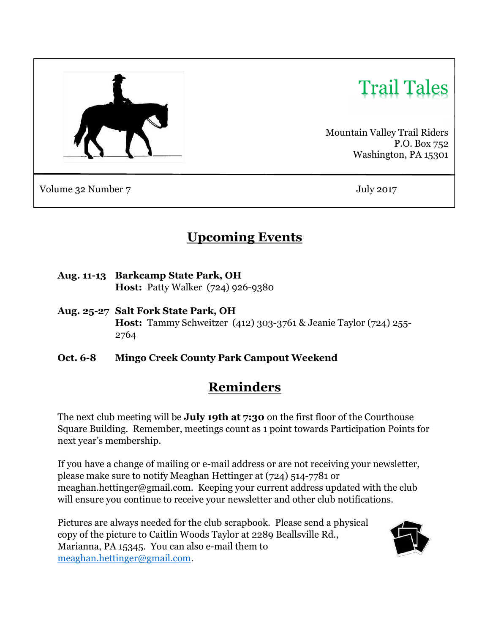

# Trail Tales

Mountain Valley Trail Riders P.O. Box 752 Washington, PA 15301

Volume 32 Number 7 July 2017

# Upcoming Events

- Aug. 11-13 Barkcamp State Park, OH Host: Patty Walker (724) 926-9380
- Aug. 25-27 Salt Fork State Park, OH Host: Tammy Schweitzer (412) 303-3761 & Jeanie Taylor (724) 255- 2764
- Oct. 6-8 Mingo Creek County Park Campout Weekend

# Reminders

The next club meeting will be **July 19th at 7:30** on the first floor of the Courthouse Square Building. Remember, meetings count as 1 point towards Participation Points for next year's membership.

If you have a change of mailing or e-mail address or are not receiving your newsletter, please make sure to notify Meaghan Hettinger at (724) 514-7781 or meaghan.hettinger@gmail.com. Keeping your current address updated with the club will ensure you continue to receive your newsletter and other club notifications.

Pictures are always needed for the club scrapbook. Please send a physical copy of the picture to Caitlin Woods Taylor at 2289 Beallsville Rd., Marianna, PA 15345. You can also e-mail them to meaghan.hettinger@gmail.com.

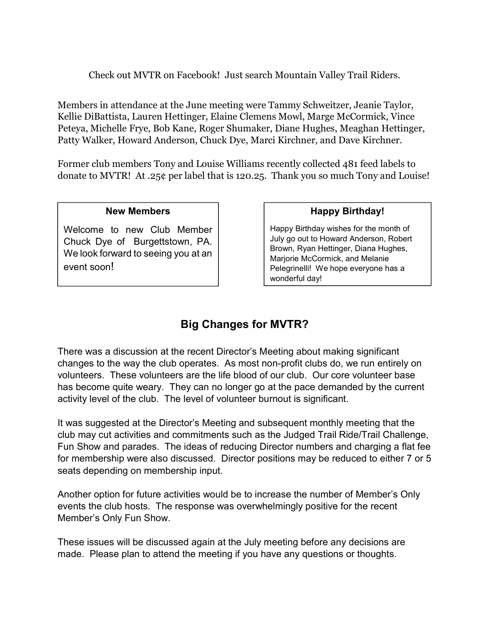Check out MVTR on Facebook! Just search Mountain Valley Trail Riders.

Members in attendance at the June meeting were Tammy Schweitzer, Jeanie Taylor, Kellie DiBattista, Lauren Hettinger, Elaine Clemens Mowl, Marge McCormick, Vince Peteya, Michelle Frye, Bob Kane, Roger Shumaker, Diane Hughes, Meaghan Hettinger, Patty Walker, Howard Anderson, Chuck Dye, Marci Kirchner, and Dave Kirchner.

Former club members Tony and Louise Williams recently collected 481 feed labels to donate to MVTR! At .25¢ per label that is 120.25. Thank you so much Tony and Louise!

#### New Members

Welcome to new Club Member Chuck Dye of Burgettstown, PA. We look forward to seeing you at an event soon!

#### Happy Birthday!

Happy Birthday wishes for the month of July go out to Howard Anderson, Robert Brown, Ryan Hettinger, Diana Hughes, Marjorie McCormick, and Melanie Pelegrinelli! We hope everyone has a wonderful day!

### Big Changes for MVTR?

There was a discussion at the recent Director's Meeting about making significant changes to the way the club operates. As most non-profit clubs do, we run entirely on volunteers. These volunteers are the life blood of our club. Our core volunteer base has become quite weary. They can no longer go at the pace demanded by the current activity level of the club. The level of volunteer burnout is significant.

It was suggested at the Director's Meeting and subsequent monthly meeting that the club may cut activities and commitments such as the Judged Trail Ride/Trail Challenge, Fun Show and parades. The ideas of reducing Director numbers and charging a flat fee for membership were also discussed. Director positions may be reduced to either 7 or 5 seats depending on membership input.

Another option for future activities would be to increase the number of Member's Only events the club hosts. The response was overwhelmingly positive for the recent Member's Only Fun Show.

These issues will be discussed again at the July meeting before any decisions are made. Please plan to attend the meeting if you have any questions or thoughts.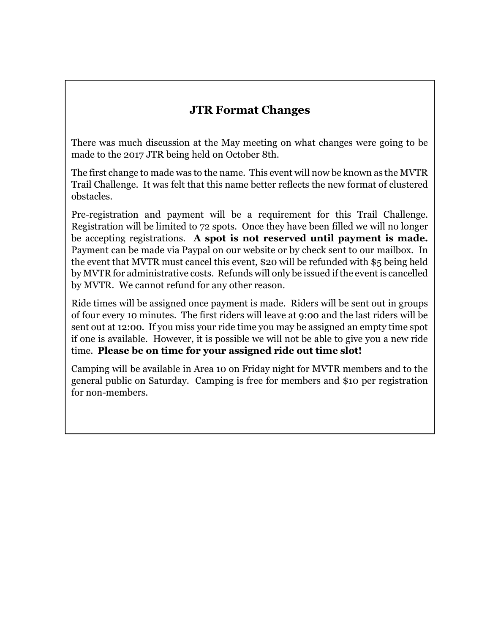## JTR Format Changes

There was much discussion at the May meeting on what changes were going to be made to the 2017 JTR being held on October 8th.

The first change to made was to the name. This event will now be known as the MVTR Trail Challenge. It was felt that this name better reflects the new format of clustered obstacles.

Pre-registration and payment will be a requirement for this Trail Challenge. Registration will be limited to 72 spots. Once they have been filled we will no longer be accepting registrations. A spot is not reserved until payment is made. Payment can be made via Paypal on our website or by check sent to our mailbox. In the event that MVTR must cancel this event, \$20 will be refunded with \$5 being held by MVTR for administrative costs. Refunds will only be issued if the event is cancelled by MVTR. We cannot refund for any other reason.

Ride times will be assigned once payment is made. Riders will be sent out in groups of four every 10 minutes. The first riders will leave at 9:00 and the last riders will be sent out at 12:00. If you miss your ride time you may be assigned an empty time spot if one is available. However, it is possible we will not be able to give you a new ride time. Please be on time for your assigned ride out time slot!

Camping will be available in Area 10 on Friday night for MVTR members and to the general public on Saturday. Camping is free for members and \$10 per registration for non-members.